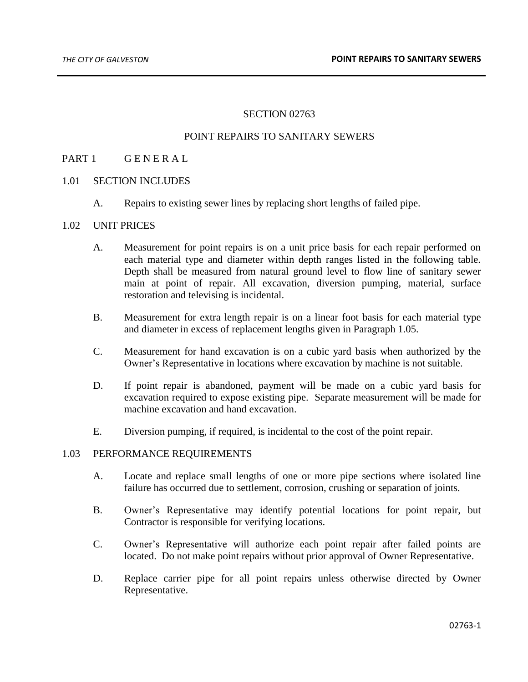## SECTION 02763

## POINT REPAIRS TO SANITARY SEWERS

# PART 1 GENERAL

#### 1.01 SECTION INCLUDES

A. Repairs to existing sewer lines by replacing short lengths of failed pipe.

#### 1.02 UNIT PRICES

- A. Measurement for point repairs is on a unit price basis for each repair performed on each material type and diameter within depth ranges listed in the following table. Depth shall be measured from natural ground level to flow line of sanitary sewer main at point of repair. All excavation, diversion pumping, material, surface restoration and televising is incidental.
- B. Measurement for extra length repair is on a linear foot basis for each material type and diameter in excess of replacement lengths given in Paragraph 1.05.
- C. Measurement for hand excavation is on a cubic yard basis when authorized by the Owner's Representative in locations where excavation by machine is not suitable.
- D. If point repair is abandoned, payment will be made on a cubic yard basis for excavation required to expose existing pipe. Separate measurement will be made for machine excavation and hand excavation.
- E. Diversion pumping, if required, is incidental to the cost of the point repair.

#### 1.03 PERFORMANCE REQUIREMENTS

- A. Locate and replace small lengths of one or more pipe sections where isolated line failure has occurred due to settlement, corrosion, crushing or separation of joints.
- B. Owner's Representative may identify potential locations for point repair, but Contractor is responsible for verifying locations.
- C. Owner's Representative will authorize each point repair after failed points are located. Do not make point repairs without prior approval of Owner Representative.
- D. Replace carrier pipe for all point repairs unless otherwise directed by Owner Representative.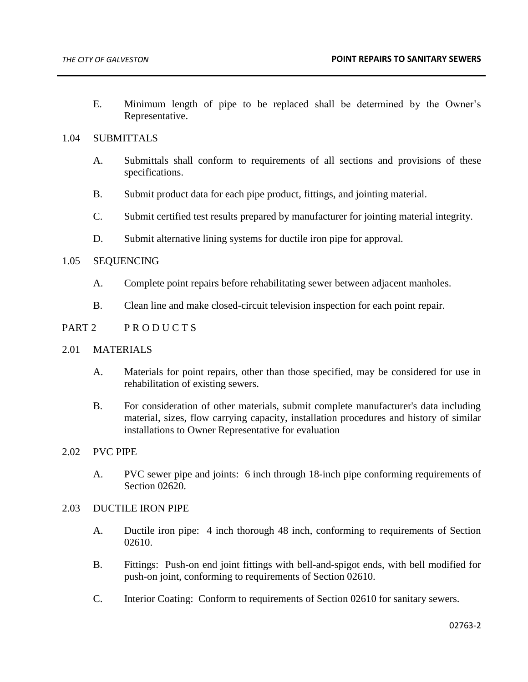E. Minimum length of pipe to be replaced shall be determined by the Owner's Representative.

# 1.04 SUBMITTALS

- A. Submittals shall conform to requirements of all sections and provisions of these specifications.
- B. Submit product data for each pipe product, fittings, and jointing material.
- C. Submit certified test results prepared by manufacturer for jointing material integrity.
- D. Submit alternative lining systems for ductile iron pipe for approval.

# 1.05 SEQUENCING

- A. Complete point repairs before rehabilitating sewer between adjacent manholes.
- B. Clean line and make closed-circuit television inspection for each point repair.

## PART 2 PRODUCTS

#### 2.01 MATERIALS

- A. Materials for point repairs, other than those specified, may be considered for use in rehabilitation of existing sewers.
- B. For consideration of other materials, submit complete manufacturer's data including material, sizes, flow carrying capacity, installation procedures and history of similar installations to Owner Representative for evaluation

#### 2.02 PVC PIPE

A. PVC sewer pipe and joints: 6 inch through 18-inch pipe conforming requirements of Section 02620.

#### 2.03 DUCTILE IRON PIPE

- A. Ductile iron pipe: 4 inch thorough 48 inch, conforming to requirements of Section 02610.
- B. Fittings: Push-on end joint fittings with bell-and-spigot ends, with bell modified for push-on joint, conforming to requirements of Section 02610.
- C. Interior Coating: Conform to requirements of Section 02610 for sanitary sewers.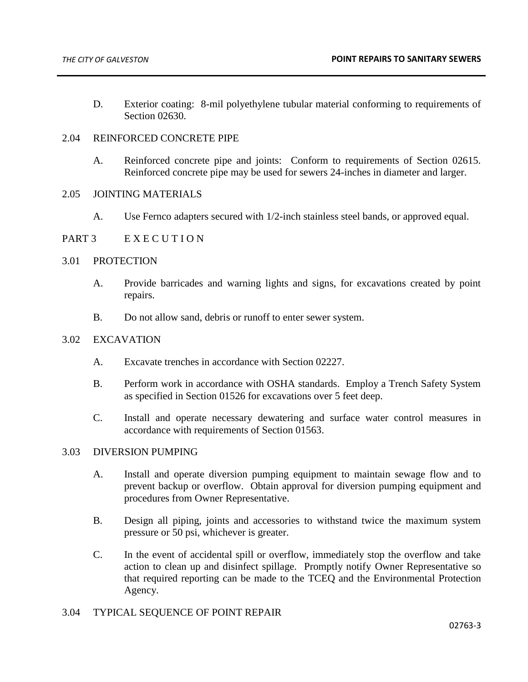D. Exterior coating: 8-mil polyethylene tubular material conforming to requirements of Section 02630.

# 2.04 REINFORCED CONCRETE PIPE

A. Reinforced concrete pipe and joints: Conform to requirements of Section 02615. Reinforced concrete pipe may be used for sewers 24-inches in diameter and larger.

## 2.05 JOINTING MATERIALS

A. Use Fernco adapters secured with 1/2-inch stainless steel bands, or approved equal.

# PART 3 E X E C U T I O N

## 3.01 PROTECTION

- A. Provide barricades and warning lights and signs, for excavations created by point repairs.
- B. Do not allow sand, debris or runoff to enter sewer system.

#### 3.02 EXCAVATION

- A. Excavate trenches in accordance with Section 02227.
- B. Perform work in accordance with OSHA standards. Employ a Trench Safety System as specified in Section 01526 for excavations over 5 feet deep.
- C. Install and operate necessary dewatering and surface water control measures in accordance with requirements of Section 01563.

## 3.03 DIVERSION PUMPING

- A. Install and operate diversion pumping equipment to maintain sewage flow and to prevent backup or overflow. Obtain approval for diversion pumping equipment and procedures from Owner Representative.
- B. Design all piping, joints and accessories to withstand twice the maximum system pressure or 50 psi, whichever is greater.
- C. In the event of accidental spill or overflow, immediately stop the overflow and take action to clean up and disinfect spillage. Promptly notify Owner Representative so that required reporting can be made to the TCEQ and the Environmental Protection Agency.

## 3.04 TYPICAL SEQUENCE OF POINT REPAIR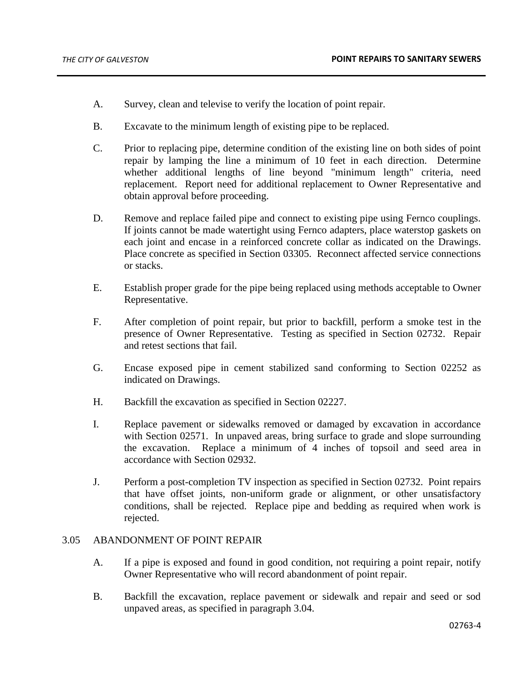- A. Survey, clean and televise to verify the location of point repair.
- B. Excavate to the minimum length of existing pipe to be replaced.
- C. Prior to replacing pipe, determine condition of the existing line on both sides of point repair by lamping the line a minimum of 10 feet in each direction. Determine whether additional lengths of line beyond "minimum length" criteria, need replacement. Report need for additional replacement to Owner Representative and obtain approval before proceeding.
- D. Remove and replace failed pipe and connect to existing pipe using Fernco couplings. If joints cannot be made watertight using Fernco adapters, place waterstop gaskets on each joint and encase in a reinforced concrete collar as indicated on the Drawings. Place concrete as specified in Section 03305. Reconnect affected service connections or stacks.
- E. Establish proper grade for the pipe being replaced using methods acceptable to Owner Representative.
- F. After completion of point repair, but prior to backfill, perform a smoke test in the presence of Owner Representative. Testing as specified in Section 02732. Repair and retest sections that fail.
- G. Encase exposed pipe in cement stabilized sand conforming to Section 02252 as indicated on Drawings.
- H. Backfill the excavation as specified in Section 02227.
- I. Replace pavement or sidewalks removed or damaged by excavation in accordance with Section 02571. In unpaved areas, bring surface to grade and slope surrounding the excavation. Replace a minimum of 4 inches of topsoil and seed area in accordance with Section 02932.
- J. Perform a post-completion TV inspection as specified in Section 02732. Point repairs that have offset joints, non-uniform grade or alignment, or other unsatisfactory conditions, shall be rejected. Replace pipe and bedding as required when work is rejected.

# 3.05 ABANDONMENT OF POINT REPAIR

- A. If a pipe is exposed and found in good condition, not requiring a point repair, notify Owner Representative who will record abandonment of point repair.
- B. Backfill the excavation, replace pavement or sidewalk and repair and seed or sod unpaved areas, as specified in paragraph 3.04.